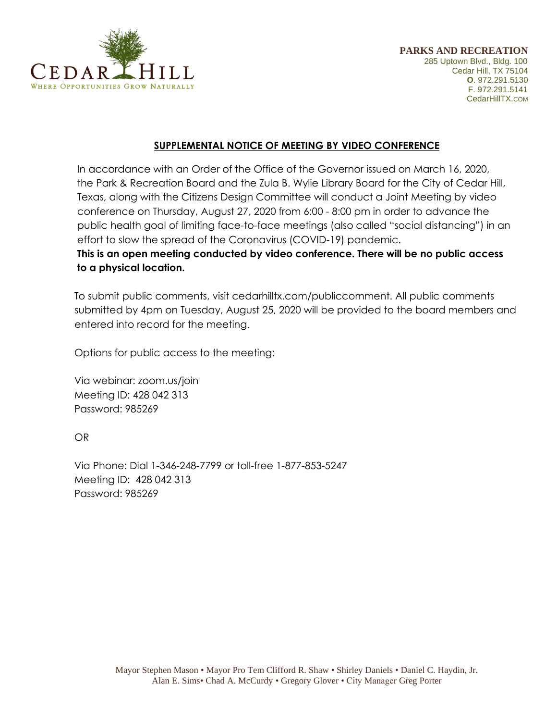

## **SUPPLEMENTAL NOTICE OF MEETING BY VIDEO CONFERENCE**

In accordance with an Order of the Office of the Governor issued on March 16, 2020, the Park & Recreation Board and the Zula B. Wylie Library Board for the City of Cedar Hill, Texas, along with the Citizens Design Committee will conduct a Joint Meeting by video conference on Thursday, August 27, 2020 from 6:00 - 8:00 pm in order to advance the public health goal of limiting face-to-face meetings (also called "social distancing") in an effort to slow the spread of the Coronavirus (COVID-19) pandemic.

## **This is an open meeting conducted by video conference. There will be no public access to a physical location.**

To submit public comments, visit cedarhilltx.com/publiccomment. All public comments submitted by 4pm on Tuesday, August 25, 2020 will be provided to the board members and entered into record for the meeting.

Options for public access to the meeting:

Via webinar: zoom.us/join Meeting ID: 428 042 313 Password: 985269

OR

Via Phone: Dial 1-346-248-7799 or toll-free 1-877-853-5247 Meeting ID: 428 042 313 Password: 985269